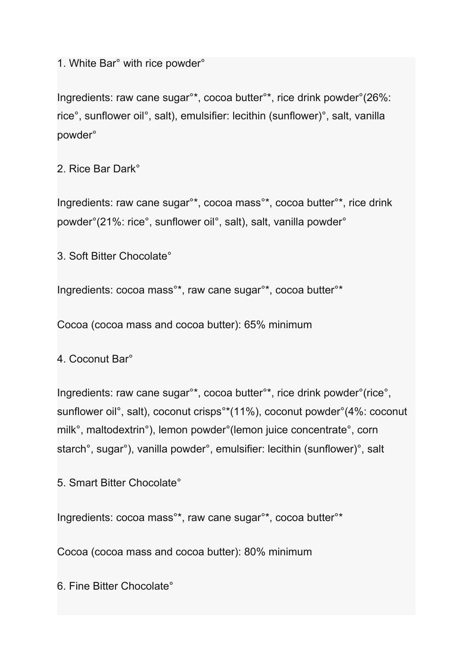1. White Bar° with rice powder°

Ingredients: raw cane sugar°\*, cocoa butter°\*, rice drink powder°(26%: rice°, sunflower oil°, salt), emulsifier: lecithin (sunflower)°, salt, vanilla powder°

2. Rice Bar Dark°

Ingredients: raw cane sugar°\*, cocoa mass°\*, cocoa butter°\*, rice drink powder°(21%: rice°, sunflower oil°, salt), salt, vanilla powder°

3. Soft Bitter Chocolate°

Ingredients: cocoa mass°\*, raw cane sugar°\*, cocoa butter°\*

Cocoa (cocoa mass and cocoa butter): 65% minimum

4. Coconut Bar°

Ingredients: raw cane sugar°\*, cocoa butter°\*, rice drink powder°(rice°, sunflower oil°, salt), coconut crisps°\*(11%), coconut powder°(4%: coconut milk°, maltodextrin°), lemon powder°(lemon juice concentrate°, corn starch°, sugar°), vanilla powder°, emulsifier: lecithin (sunflower)°, salt

5. Smart Bitter Chocolate°

Ingredients: cocoa mass°\*, raw cane sugar°\*, cocoa butter°\*

Cocoa (cocoa mass and cocoa butter): 80% minimum

6. Fine Bitter Chocolate°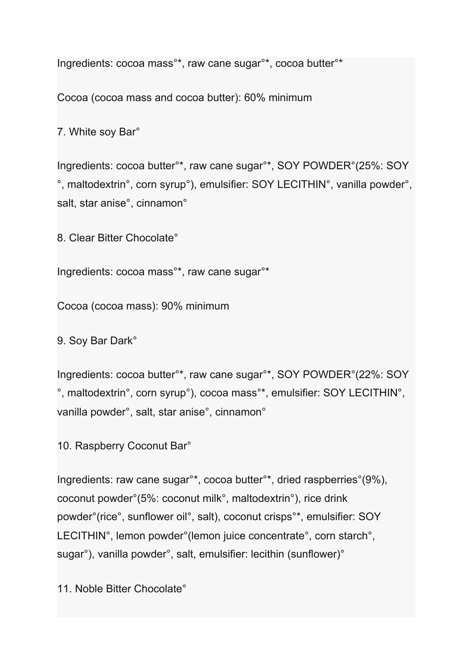Ingredients: cocoa mass°\*, raw cane sugar°\*, cocoa butter°\*

Cocoa (cocoa mass and cocoa butter): 60% minimum

7. White soy Bar°

Ingredients: cocoa butter°\*, raw cane sugar°\*, SOY POWDER°(25%: SOY °, maltodextrin°, corn syrup°), emulsifier: SOY LECITHIN°, vanilla powder°, salt, star anise°, cinnamon°

8. Clear Bitter Chocolate°

Ingredients: cocoa mass°\*, raw cane sugar°\*

Cocoa (cocoa mass): 90% minimum

9. Soy Bar Dark°

Ingredients: cocoa butter°\*, raw cane sugar°\*, SOY POWDER°(22%: SOY °, maltodextrin°, corn syrup°), cocoa mass°\*, emulsifier: SOY LECITHIN°, vanilla powder°, salt, star anise°, cinnamon°

10. Raspberry Coconut Bar°

Ingredients: raw cane sugar°\*, cocoa butter°\*, dried raspberries°(9%), coconut powder°(5%: coconut milk°, maltodextrin°), rice drink powder°(rice°, sunflower oil°, salt), coconut crisps°\*, emulsifier: SOY LECITHIN°, lemon powder°(lemon juice concentrate°, corn starch°, sugar°), vanilla powder°, salt, emulsifier: lecithin (sunflower)°

11. Noble Bitter Chocolate°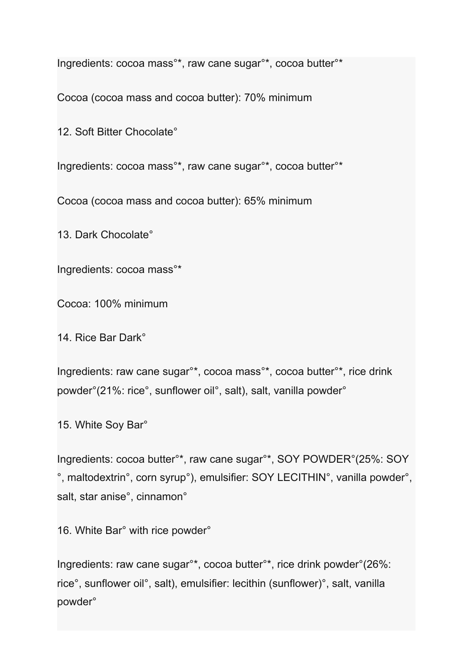Ingredients: cocoa mass°\*, raw cane sugar°\*, cocoa butter°\*

Cocoa (cocoa mass and cocoa butter): 70% minimum

12. Soft Bitter Chocolate°

Ingredients: cocoa mass°\*, raw cane sugar°\*, cocoa butter°\*

Cocoa (cocoa mass and cocoa butter): 65% minimum

13. Dark Chocolate°

Ingredients: cocoa mass°\*

Cocoa: 100% minimum

14. Rice Bar Dark°

Ingredients: raw cane sugar°\*, cocoa mass°\*, cocoa butter°\*, rice drink powder°(21%: rice°, sunflower oil°, salt), salt, vanilla powder°

15. White Soy Bar°

Ingredients: cocoa butter°\*, raw cane sugar°\*, SOY POWDER°(25%: SOY °, maltodextrin°, corn syrup°), emulsifier: SOY LECITHIN°, vanilla powder°, salt, star anise°, cinnamon°

16. White Bar° with rice powder°

Ingredients: raw cane sugar°\*, cocoa butter°\*, rice drink powder°(26%: rice°, sunflower oil°, salt), emulsifier: lecithin (sunflower)°, salt, vanilla powder°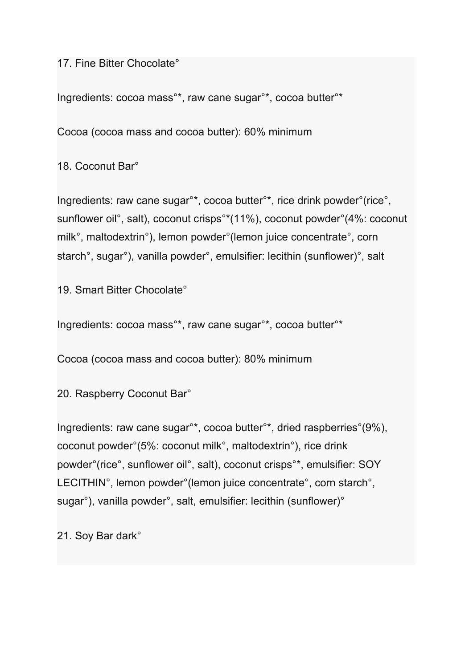17. Fine Bitter Chocolate°

Ingredients: cocoa mass°\*, raw cane sugar°\*, cocoa butter°\*

Cocoa (cocoa mass and cocoa butter): 60% minimum

18. Coconut Bar°

Ingredients: raw cane sugar°\*, cocoa butter°\*, rice drink powder°(rice°, sunflower oil°, salt), coconut crisps°\*(11%), coconut powder°(4%: coconut milk°, maltodextrin°), lemon powder°(lemon juice concentrate°, corn starch°, sugar°), vanilla powder°, emulsifier: lecithin (sunflower)°, salt

19. Smart Bitter Chocolate°

Ingredients: cocoa mass°\*, raw cane sugar°\*, cocoa butter°\*

Cocoa (cocoa mass and cocoa butter): 80% minimum

20. Raspberry Coconut Bar°

Ingredients: raw cane sugar°\*, cocoa butter°\*, dried raspberries°(9%), coconut powder°(5%: coconut milk°, maltodextrin°), rice drink powder°(rice°, sunflower oil°, salt), coconut crisps°\*, emulsifier: SOY LECITHIN°, lemon powder°(lemon juice concentrate°, corn starch°, sugar°), vanilla powder°, salt, emulsifier: lecithin (sunflower)°

21. Soy Bar dark°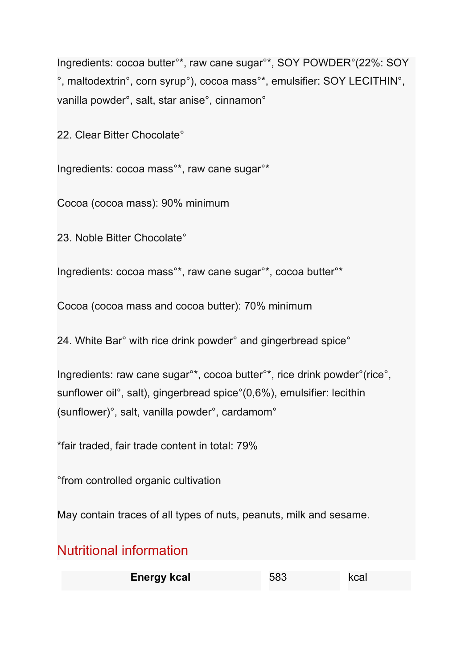Ingredients: cocoa butter°\*, raw cane sugar°\*, SOY POWDER°(22%: SOY °, maltodextrin°, corn syrup°), cocoa mass°\*, emulsifier: SOY LECITHIN°, vanilla powder°, salt, star anise°, cinnamon°

22. Clear Bitter Chocolate°

Ingredients: cocoa mass°\*, raw cane sugar°\*

Cocoa (cocoa mass): 90% minimum

23. Noble Bitter Chocolate°

Ingredients: cocoa mass°\*, raw cane sugar°\*, cocoa butter°\*

Cocoa (cocoa mass and cocoa butter): 70% minimum

24. White Bar° with rice drink powder° and gingerbread spice°

Ingredients: raw cane sugar°\*, cocoa butter°\*, rice drink powder°(rice°, sunflower oil°, salt), gingerbread spice°(0,6%), emulsifier: lecithin (sunflower)°, salt, vanilla powder°, cardamom°

\*fair traded, fair trade content in total: 79%

°from controlled organic cultivation

May contain traces of all types of nuts, peanuts, milk and sesame.

## Nutritional information

| <b>Energy kcal</b> | 583 | kcal |
|--------------------|-----|------|
|--------------------|-----|------|